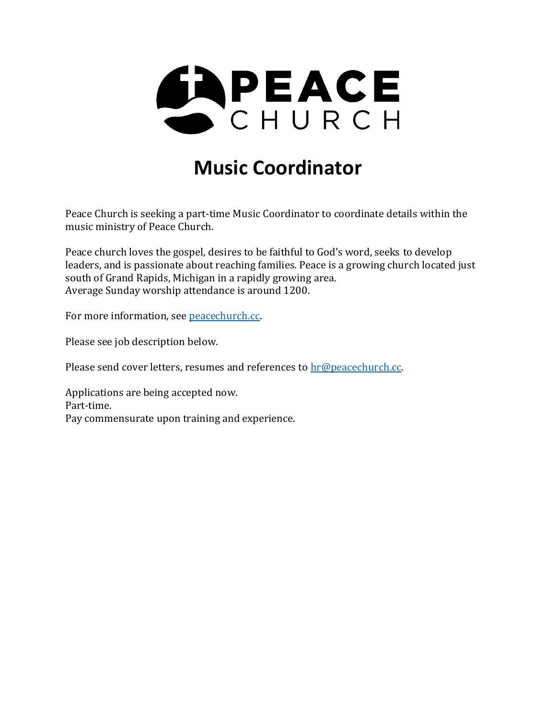

# **Music Coordinator**

Peace Church is seeking a part-time Music Coordinator to coordinate details within the music ministry of Peace Church.

Peace church loves the gospel, desires to be faithful to God's word, seeks to develop leaders, and is passionate about reaching families. Peace is a growing church located just south of Grand Rapids, Michigan in a rapidly growing area. Average Sunday worship attendance is around 1200.

For more information, see [peacechurch.cc.](https://peacechurch.cc/)

Please see job description below.

Please send cover letters, resumes and references to [hr@peacechurch.cc.](mailto:hr@peacechurch.cc)

Applications are being accepted now. Part-time. Pay commensurate upon training and experience.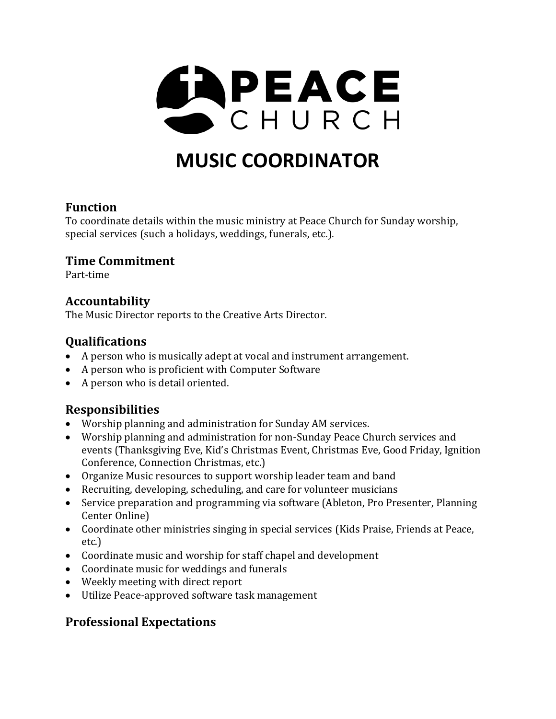

# **MUSIC COORDINATOR**

#### **Function**

To coordinate details within the music ministry at Peace Church for Sunday worship, special services (such a holidays, weddings, funerals, etc.).

#### **Time Commitment**

Part-time

#### **Accountability**

The Music Director reports to the Creative Arts Director.

#### **Qualifications**

- A person who is musically adept at vocal and instrument arrangement.
- A person who is proficient with Computer Software
- A person who is detail oriented.

#### **Responsibilities**

- Worship planning and administration for Sunday AM services.
- Worship planning and administration for non-Sunday Peace Church services and events (Thanksgiving Eve, Kid's Christmas Event, Christmas Eve, Good Friday, Ignition Conference, Connection Christmas, etc.)
- Organize Music resources to support worship leader team and band
- Recruiting, developing, scheduling, and care for volunteer musicians
- Service preparation and programming via software (Ableton, Pro Presenter, Planning Center Online)
- Coordinate other ministries singing in special services (Kids Praise, Friends at Peace, etc.)
- Coordinate music and worship for staff chapel and development
- Coordinate music for weddings and funerals
- Weekly meeting with direct report
- Utilize Peace-approved software task management

## **Professional Expectations**